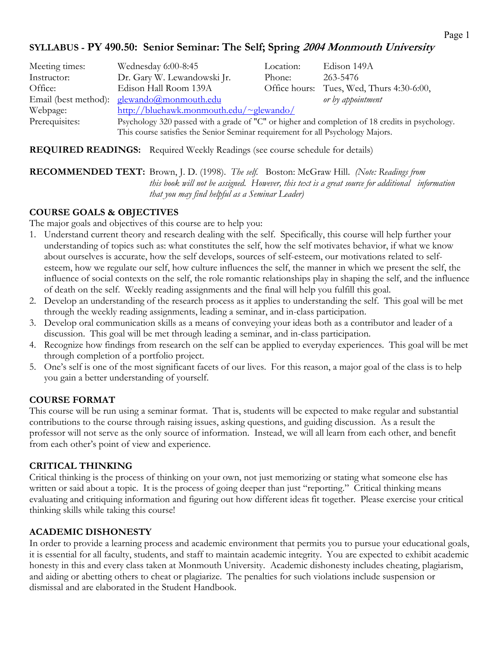#### **SYLLABUS - PY 490.50: Senior Seminar: The Self; Spring 2004 Monmouth University**

| Meeting times: | Wednesday 6:00-8:45                                                                                     | Location: | Edison 149A                               |
|----------------|---------------------------------------------------------------------------------------------------------|-----------|-------------------------------------------|
| Instructor:    | Dr. Gary W. Lewandowski Jr.                                                                             | Phone:    | 263-5476                                  |
| Office:        | Edison Hall Room 139A                                                                                   |           | Office hours: Tues, Wed, Thurs 4:30-6:00, |
|                | Email (best method): $glewando@monmouth.edu$                                                            |           | or by appointment                         |
| Webpage:       | $\frac{\text{http://bluehawk.monmouth.edu/~glewando/}}{\text{http://bluehawk.monmouth.edu/~glewando/}}$ |           |                                           |
| Prerequisites: | Psychology 320 passed with a grade of "C" or higher and completion of 18 credits in psychology.         |           |                                           |
|                | This course satisfies the Senior Seminar requirement for all Psychology Majors.                         |           |                                           |

**REQUIRED READINGS:** Required Weekly Readings (see course schedule for details)

#### **RECOMMENDED TEXT:** Brown, J. D. (1998). *The self.* Boston: McGraw Hill. *(Note: Readings from this book will not be assigned. However, this text is a great source for additional information that you may find helpful as a Seminar Leader)*

#### **COURSE GOALS & OBJECTIVES**

The major goals and objectives of this course are to help you:

- 1. Understand current theory and research dealing with the self. Specifically, this course will help further your understanding of topics such as: what constitutes the self, how the self motivates behavior, if what we know about ourselves is accurate, how the self develops, sources of self-esteem, our motivations related to selfesteem, how we regulate our self, how culture influences the self, the manner in which we present the self, the influence of social contexts on the self, the role romantic relationships play in shaping the self, and the influence of death on the self. Weekly reading assignments and the final will help you fulfill this goal.
- 2. Develop an understanding of the research process as it applies to understanding the self. This goal will be met through the weekly reading assignments, leading a seminar, and in-class participation.
- 3. Develop oral communication skills as a means of conveying your ideas both as a contributor and leader of a discussion. This goal will be met through leading a seminar, and in-class participation.
- 4. Recognize how findings from research on the self can be applied to everyday experiences. This goal will be met through completion of a portfolio project.
- 5. One's self is one of the most significant facets of our lives. For this reason, a major goal of the class is to help you gain a better understanding of yourself.

#### **COURSE FORMAT**

This course will be run using a seminar format. That is, students will be expected to make regular and substantial contributions to the course through raising issues, asking questions, and guiding discussion. As a result the professor will not serve as the only source of information. Instead, we will all learn from each other, and benefit from each other's point of view and experience.

#### **CRITICAL THINKING**

Critical thinking is the process of thinking on your own, not just memorizing or stating what someone else has written or said about a topic. It is the process of going deeper than just "reporting." Critical thinking means evaluating and critiquing information and figuring out how different ideas fit together. Please exercise your critical thinking skills while taking this course!

#### **ACADEMIC DISHONESTY**

In order to provide a learning process and academic environment that permits you to pursue your educational goals, it is essential for all faculty, students, and staff to maintain academic integrity. You are expected to exhibit academic honesty in this and every class taken at Monmouth University. Academic dishonesty includes cheating, plagiarism, and aiding or abetting others to cheat or plagiarize. The penalties for such violations include suspension or dismissal and are elaborated in the Student Handbook.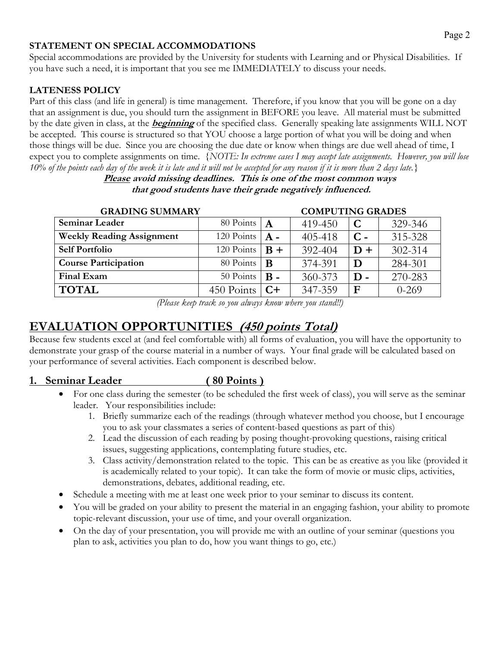#### **STATEMENT ON SPECIAL ACCOMMODATIONS**

Special accommodations are provided by the University for students with Learning and or Physical Disabilities. If you have such a need, it is important that you see me IMMEDIATELY to discuss your needs.

#### **LATENESS POLICY**

Part of this class (and life in general) is time management. Therefore, if you know that you will be gone on a day that an assignment is due, you should turn the assignment in BEFORE you leave. All material must be submitted by the date given in class, at the **beginning** of the specified class. Generally speaking late assignments WILL NOT be accepted. This course is structured so that YOU choose a large portion of what you will be doing and when those things will be due. Since you are choosing the due date or know when things are due well ahead of time, I expect you to complete assignments on time. *{NOTE: In extreme cases I may accept late assignments. However, you will lose 10% of the points each day of the week it is late and it will not be accepted for any reason if it is more than 2 days late.}* 

> **Please avoid missing deadlines. This is one of the most common ways that good students have their grade negatively influenced.**

| <b>GRADING SUMMARY</b>           |            |              | <b>COMPUTING GRADES</b> |              |           |
|----------------------------------|------------|--------------|-------------------------|--------------|-----------|
| <b>Seminar Leader</b>            | 80 Points  | $\mathbf{A}$ | 419-450                 | $\mathbf C$  | 329-346   |
| <b>Weekly Reading Assignment</b> | 120 Points | $A -$        | 405-418                 | $C -$        | 315-328   |
| <b>Self Portfolio</b>            | 120 Points | $B +$        | 392-404                 | $D +$        | 302-314   |
| <b>Course Participation</b>      | 80 Points  | B            | 374-391                 | D            | 284-301   |
| Final Exam                       | 50 Points  | $B -$        | 360-373                 | $\mathbf{D}$ | 270-283   |
| <b>TOTAL</b>                     | 450 Points | $C+$         | 347-359                 | $\mathbf F$  | $0 - 269$ |

*(Please keep track so you always know where you stand!!)*

## **EVALUATION OPPORTUNITIES (450 points Total)**

Because few students excel at (and feel comfortable with) all forms of evaluation, you will have the opportunity to demonstrate your grasp of the course material in a number of ways. Your final grade will be calculated based on your performance of several activities. Each component is described below.

#### **1. Seminar Leader ( 80 Points )**

- For one class during the semester (to be scheduled the first week of class), you will serve as the seminar leader. Your responsibilities include:
	- 1. Briefly summarize each of the readings (through whatever method you choose, but I encourage you to ask your classmates a series of content-based questions as part of this)
	- 2. Lead the discussion of each reading by posing thought-provoking questions, raising critical issues, suggesting applications, contemplating future studies, etc.
	- 3. Class activity/demonstration related to the topic. This can be as creative as you like (provided it is academically related to your topic). It can take the form of movie or music clips, activities, demonstrations, debates, additional reading, etc.
- Schedule a meeting with me at least one week prior to your seminar to discuss its content.
- You will be graded on your ability to present the material in an engaging fashion, your ability to promote topic-relevant discussion, your use of time, and your overall organization.
- On the day of your presentation, you will provide me with an outline of your seminar (questions you plan to ask, activities you plan to do, how you want things to go, etc.)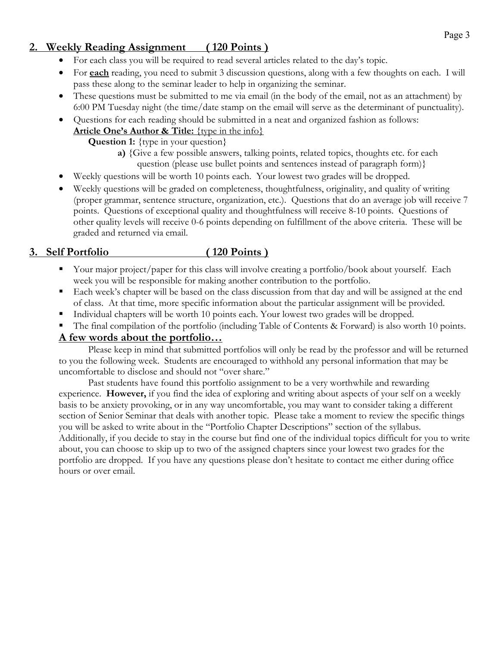### **2. Weekly Reading Assignment ( 120 Points )**

- For each class you will be required to read several articles related to the day's topic.
- For **each** reading, you need to submit 3 discussion questions, along with a few thoughts on each. I will pass these along to the seminar leader to help in organizing the seminar.
- These questions must be submitted to me via email (in the body of the email, not as an attachment) by 6:00 PM Tuesday night (the time/date stamp on the email will serve as the determinant of punctuality).
- Questions for each reading should be submitted in a neat and organized fashion as follows:

## **Article One's Author & Title:** {type in the info}

**Question 1:** {type in your question}

- **a)** {Give a few possible answers, talking points, related topics, thoughts etc. for each question (please use bullet points and sentences instead of paragraph form)}
- Weekly questions will be worth 10 points each. Your lowest two grades will be dropped.
- Weekly questions will be graded on completeness, thoughtfulness, originality, and quality of writing (proper grammar, sentence structure, organization, etc.). Questions that do an average job will receive 7 points. Questions of exceptional quality and thoughtfulness will receive 8-10 points. Questions of other quality levels will receive 0-6 points depending on fulfillment of the above criteria. These will be graded and returned via email.

### **3. Self Portfolio ( 120 Points )**

- Your major project/paper for this class will involve creating a portfolio/book about yourself. Each week you will be responsible for making another contribution to the portfolio.
- Each week's chapter will be based on the class discussion from that day and will be assigned at the end of class. At that time, more specific information about the particular assignment will be provided.
- Individual chapters will be worth 10 points each. Your lowest two grades will be dropped.
- The final compilation of the portfolio (including Table of Contents & Forward) is also worth 10 points.

#### **A few words about the portfolio…**

Please keep in mind that submitted portfolios will only be read by the professor and will be returned to you the following week. Students are encouraged to withhold any personal information that may be uncomfortable to disclose and should not "over share."

Past students have found this portfolio assignment to be a very worthwhile and rewarding experience. **However,** if you find the idea of exploring and writing about aspects of your self on a weekly basis to be anxiety provoking, or in any way uncomfortable, you may want to consider taking a different section of Senior Seminar that deals with another topic. Please take a moment to review the specific things you will be asked to write about in the "Portfolio Chapter Descriptions" section of the syllabus. Additionally, if you decide to stay in the course but find one of the individual topics difficult for you to write about, you can choose to skip up to two of the assigned chapters since your lowest two grades for the portfolio are dropped. If you have any questions please don't hesitate to contact me either during office hours or over email.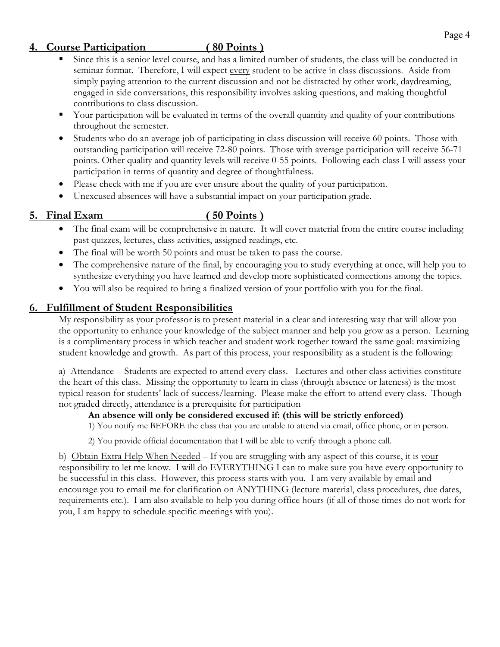#### **4. Course Participation ( 80 Points )**

- Since this is a senior level course, and has a limited number of students, the class will be conducted in seminar format. Therefore, I will expect every student to be active in class discussions. Aside from simply paying attention to the current discussion and not be distracted by other work, daydreaming, engaged in side conversations, this responsibility involves asking questions, and making thoughtful contributions to class discussion.
- Your participation will be evaluated in terms of the overall quantity and quality of your contributions throughout the semester.
- Students who do an average job of participating in class discussion will receive 60 points. Those with outstanding participation will receive 72-80 points. Those with average participation will receive 56-71 points. Other quality and quantity levels will receive 0-55 points. Following each class I will assess your participation in terms of quantity and degree of thoughtfulness.
- Please check with me if you are ever unsure about the quality of your participation.
- Unexcused absences will have a substantial impact on your participation grade.

#### **5. Final Exam ( 50 Points )**

- The final exam will be comprehensive in nature. It will cover material from the entire course including past quizzes, lectures, class activities, assigned readings, etc.
- The final will be worth 50 points and must be taken to pass the course.
- The comprehensive nature of the final, by encouraging you to study everything at once, will help you to synthesize everything you have learned and develop more sophisticated connections among the topics.
- You will also be required to bring a finalized version of your portfolio with you for the final.

### **6. Fulfillment of Student Responsibilities**

My responsibility as your professor is to present material in a clear and interesting way that will allow you the opportunity to enhance your knowledge of the subject manner and help you grow as a person. Learning is a complimentary process in which teacher and student work together toward the same goal: maximizing student knowledge and growth. As part of this process, your responsibility as a student is the following:

a) Attendance - Students are expected to attend every class. Lectures and other class activities constitute the heart of this class. Missing the opportunity to learn in class (through absence or lateness) is the most typical reason for students' lack of success/learning. Please make the effort to attend every class. Though not graded directly, attendance is a prerequisite for participation

#### **An absence will only be considered excused if: (this will be strictly enforced)**

1) You notify me BEFORE the class that you are unable to attend via email, office phone, or in person.

2) You provide official documentation that I will be able to verify through a phone call.

b) Obtain Extra Help When Needed – If you are struggling with any aspect of this course, it is your responsibility to let me know. I will do EVERYTHING I can to make sure you have every opportunity to be successful in this class. However, this process starts with you. I am very available by email and encourage you to email me for clarification on ANYTHING (lecture material, class procedures, due dates, requirements etc.). I am also available to help you during office hours (if all of those times do not work for you, I am happy to schedule specific meetings with you).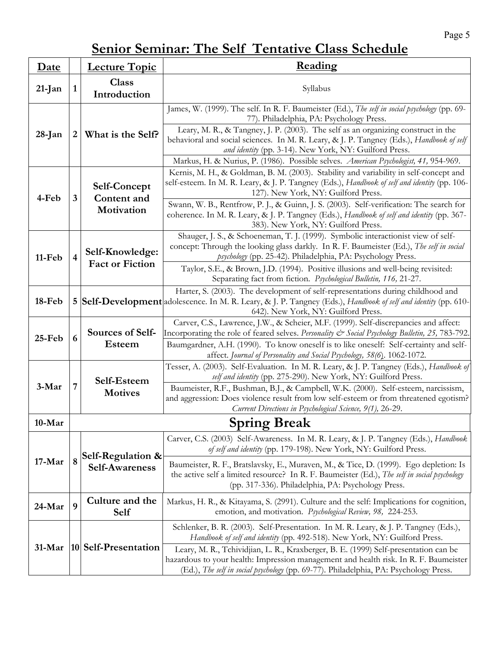# Page 5

# **Senior Seminar: The Self Tentative Class Schedule**

| <b>Date</b> |                         | <b>Lecture Topic</b>                             | Reading                                                                                                                                                                                                                                                                                                                                                                                                                                                                      |  |  |  |
|-------------|-------------------------|--------------------------------------------------|------------------------------------------------------------------------------------------------------------------------------------------------------------------------------------------------------------------------------------------------------------------------------------------------------------------------------------------------------------------------------------------------------------------------------------------------------------------------------|--|--|--|
| $21$ -Jan   | $\mathbf{1}$            | <b>Class</b><br>Introduction                     | Syllabus                                                                                                                                                                                                                                                                                                                                                                                                                                                                     |  |  |  |
| 28-Jan      | 2 <sub>1</sub>          | What is the Self?                                | James, W. (1999). The self. In R. F. Baumeister (Ed.), The self in social psychology (pp. 69-<br>77). Philadelphia, PA: Psychology Press.<br>Leary, M. R., & Tangney, J. P. (2003). The self as an organizing construct in the<br>behavioral and social sciences. In M. R. Leary, & J. P. Tangney (Eds.), Handbook of self<br>and identity (pp. 3-14). New York, NY: Guilford Press.<br>Markus, H. & Nurius, P. (1986). Possible selves. American Psychologist, 41, 954-969. |  |  |  |
| 4-Feb       | $\overline{\mathbf{3}}$ | <b>Self-Concept</b><br>Content and<br>Motivation | Kernis, M. H., & Goldman, B. M. (2003). Stability and variability in self-concept and<br>self-esteem. In M. R. Leary, & J. P. Tangney (Eds.), Handbook of self and identity (pp. 106-<br>127). New York, NY: Guilford Press.<br>Swann, W. B., Rentfrow, P. J., & Guinn, J. S. (2003). Self-verification: The search for<br>coherence. In M. R. Leary, & J. P. Tangney (Eds.), Handbook of self and identity (pp. 367-<br>383). New York, NY: Guilford Press.                 |  |  |  |
| 11-Feb      | $\overline{\mathbf{4}}$ | Self-Knowledge:<br><b>Fact or Fiction</b>        | Shauger, J. S., & Schoeneman, T. J. (1999). Symbolic interactionist view of self-<br>concept: Through the looking glass darkly. In R. F. Baumeister (Ed.), The self in social<br>psychology (pp. 25-42). Philadelphia, PA: Psychology Press.<br>Taylor, S.E., & Brown, J.D. (1994). Positive illusions and well-being revisited:<br>Separating fact from fiction. Psychological Bulletin, 116, 21-27.                                                                        |  |  |  |
| 18-Feb      |                         |                                                  | Harter, S. (2003). The development of self-representations during childhood and<br>5 Self-Development adolescence. In M. R. Leary, & J. P. Tangney (Eds.), <i>Handbook of self and identity</i> (pp. 610-<br>642). New York, NY: Guilford Press.                                                                                                                                                                                                                             |  |  |  |
| $25$ -Feb   | 6                       | Sources of Self-<br><b>Esteem</b>                | Carver, C.S., Lawrence, J.W., & Scheier, M.F. (1999). Self-discrepancies and affect:<br>Incorporating the role of feared selves. Personality & Social Psychology Bulletin, 25, 783-792.<br>Baumgardner, A.H. (1990). To know oneself is to like oneself: Self-certainty and self-<br>affect. Journal of Personality and Social Psychology, 58(6). 1062-1072.                                                                                                                 |  |  |  |
| 3-Mar       | 7                       | Self-Esteem<br><b>Motives</b>                    | Tesser, A. (2003). Self-Evaluation. In M. R. Leary, & J. P. Tangney (Eds.), Handbook of<br>self and identity (pp. 275-290). New York, NY: Guilford Press.<br>Baumeister, R.F., Bushman, B.J., & Campbell, W.K. (2000). Self-esteem, narcissism,<br>and aggression: Does violence result from low self-esteem or from threatened egotism?<br>Current Directions in Psychological Science, 9(1), 26-29.                                                                        |  |  |  |
| $10-Mar$    |                         |                                                  | <b>Spring Break</b>                                                                                                                                                                                                                                                                                                                                                                                                                                                          |  |  |  |
| $17-Mar$    | 8                       | Self-Regulation &<br><b>Self-Awareness</b>       | Carver, C.S. (2003) Self-Awareness. In M. R. Leary, & J. P. Tangney (Eds.), Handbook<br>of self and identity (pp. 179-198). New York, NY: Guilford Press.<br>Baumeister, R. F., Bratslavsky, E., Muraven, M., & Tice, D. (1999). Ego depletion: Is<br>the active self a limited resource? In R. F. Baumeister (Ed.), The self in social psychology<br>(pp. 317-336). Philadelphia, PA: Psychology Press.                                                                     |  |  |  |
| $24$ -Mar   | 9                       | Culture and the<br>Self                          | Markus, H. R., & Kitayama, S. (2991). Culture and the self: Implications for cognition,<br>emotion, and motivation. Psychological Review, 98, 224-253.                                                                                                                                                                                                                                                                                                                       |  |  |  |
| $31-Mar$    |                         | 10 Self-Presentation                             | Schlenker, B. R. (2003). Self-Presentation. In M. R. Leary, & J. P. Tangney (Eds.),<br>Handbook of self and identity (pp. 492-518). New York, NY: Guilford Press.<br>Leary, M. R., Tchividjian, L. R., Kraxberger, B. E. (1999) Self-presentation can be<br>hazardous to your health: Impression management and health risk. In R. F. Baumeister<br>(Ed.), The self in social psychology (pp. 69-77). Philadelphia, PA: Psychology Press.                                    |  |  |  |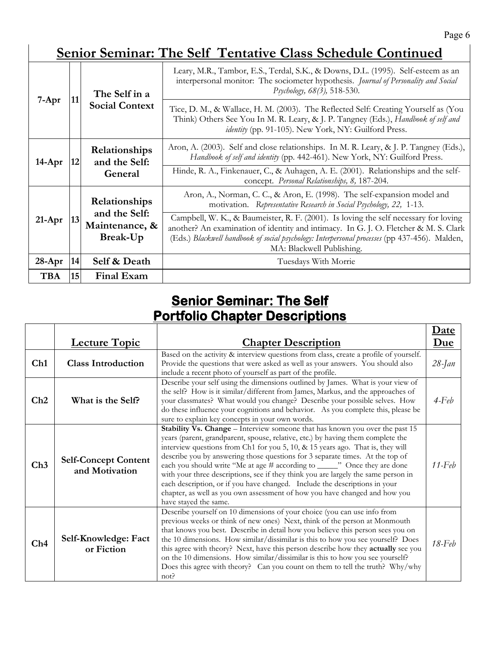# **Senior Seminar: The Self Tentative Class Schedule Continued**

|            |                 | The Self in a                                                | Leary, M.R., Tambor, E.S., Terdal, S.K., & Downs, D.L. (1995). Self-esteem as an<br>interpersonal monitor: The sociometer hypothesis. Journal of Personality and Social<br>Psychology, 68(3), 518-530.                                                                                                     |
|------------|-----------------|--------------------------------------------------------------|------------------------------------------------------------------------------------------------------------------------------------------------------------------------------------------------------------------------------------------------------------------------------------------------------------|
| $7-Apr$    | 11              | <b>Social Context</b>                                        | Tice, D. M., & Wallace, H. M. (2003). The Reflected Self: Creating Yourself as (You<br>Think) Others See You In M. R. Leary, & J. P. Tangney (Eds.), Handbook of self and<br>identity (pp. 91-105). New York, NY: Guilford Press.                                                                          |
| $14$ -Apr  | 12              | Relationships<br>and the Self:<br>General                    | Aron, A. (2003). Self and close relationships. In M. R. Leary, & J. P. Tangney (Eds.),<br>Handbook of self and identity (pp. 442-461). New York, NY: Guilford Press.                                                                                                                                       |
|            |                 |                                                              | Hinde, R. A., Finkenauer, C., & Auhagen, A. E. (2001). Relationships and the self-<br>concept. Personal Relationships, 8, 187-204.                                                                                                                                                                         |
| $21-Apr$   | 13              | Relationships<br>and the Self:<br>Maintenance, &<br>Break-Up | Aron, A., Norman, C. C., & Aron, E. (1998). The self-expansion model and<br>motivation. Representative Research in Social Psychology, 22, 1-13.                                                                                                                                                            |
|            |                 |                                                              | Campbell, W. K., & Baumeister, R. F. (2001). Is loving the self necessary for loving<br>another? An examination of identity and intimacy. In G. J. O. Fletcher & M. S. Clark<br>(Eds.) Blackwell handbook of social psychology: Interpersonal processes (pp 437-456). Malden,<br>MA: Blackwell Publishing. |
| $28-Apr$   | 14              | Self & Death                                                 | Tuesdays With Morrie                                                                                                                                                                                                                                                                                       |
| <b>TBA</b> | 15 <sup>1</sup> | <b>Final Exam</b>                                            |                                                                                                                                                                                                                                                                                                            |

# **Senior Seminar: The Self Portfolio Chapter Descriptions**

**r** 

|     |                                               |                                                                                                                                                                                                                                                                                                                                                                                                                                                                                                                                                                                                                                                                                             | Date       |
|-----|-----------------------------------------------|---------------------------------------------------------------------------------------------------------------------------------------------------------------------------------------------------------------------------------------------------------------------------------------------------------------------------------------------------------------------------------------------------------------------------------------------------------------------------------------------------------------------------------------------------------------------------------------------------------------------------------------------------------------------------------------------|------------|
|     | <b>Lecture Topic</b>                          | <b>Chapter Description</b>                                                                                                                                                                                                                                                                                                                                                                                                                                                                                                                                                                                                                                                                  | <u>Due</u> |
| Ch1 | <b>Class Introduction</b>                     | Based on the activity & interview questions from class, create a profile of yourself.<br>Provide the questions that were asked as well as your answers. You should also<br>include a recent photo of yourself as part of the profile.                                                                                                                                                                                                                                                                                                                                                                                                                                                       | $28$ -Jan  |
| Ch2 | What is the Self?                             | Describe your self using the dimensions outlined by James. What is your view of<br>the self? How is it similar/different from James, Markus, and the approaches of<br>your classmates? What would you change? Describe your possible selves. How<br>do these influence your cognitions and behavior. As you complete this, please be<br>sure to explain key concepts in your own words.                                                                                                                                                                                                                                                                                                     | $4$ -Feb   |
| Ch3 | <b>Self-Concept Content</b><br>and Motivation | Stability Vs. Change - Interview someone that has known you over the past 15<br>years (parent, grandparent, spouse, relative, etc.) by having them complete the<br>interview questions from Ch1 for you 5, 10, & 15 years ago. That is, they will<br>describe you by answering those questions for 3 separate times. At the top of<br>each you should write "Me at age # according to ______" Once they are done<br>with your three descriptions, see if they think you are largely the same person in<br>each description, or if you have changed. Include the descriptions in your<br>chapter, as well as you own assessment of how you have changed and how you<br>have stayed the same. | 11-Feb     |
| Ch4 | Self-Knowledge: Fact<br>or Fiction            | Describe yourself on 10 dimensions of your choice (you can use info from<br>previous weeks or think of new ones) Next, think of the person at Monmouth<br>that knows you best. Describe in detail how you believe this person sees you on<br>the 10 dimensions. How similar/dissimilar is this to how you see yourself? Does<br>this agree with theory? Next, have this person describe how they actually see you<br>on the 10 dimensions. How similar/dissimilar is this to how you see yourself?<br>Does this agree with theory? Can you count on them to tell the truth? Why/why<br>not?                                                                                                 | $18$ -Feb  |